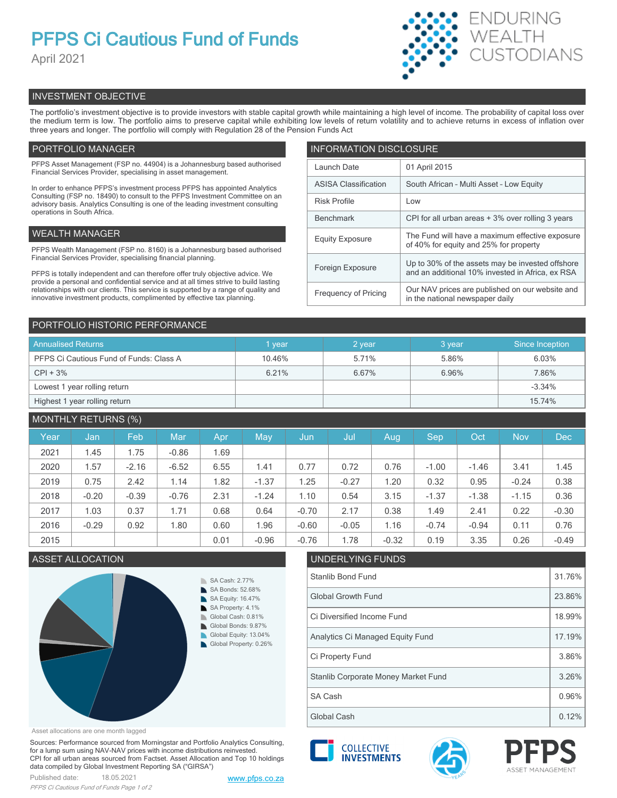# **PFPS Ci Cautious Fund of Funds**

April 2021



# INVESTMENT OBJECTIVE

The portfolio's investment objective is to provide investors with stable capital growth while maintaining a high level of income. The probability of capital loss over the medium term is low. The portfolio aims to preserve capital while exhibiting low levels of return volatility and to achieve returns in excess of inflation over three years and longer. The portfolio will comply with Regulation 28 of the Pension Funds Act

# PORTFOLIO MANAGER

PFPS Asset Management (FSP no. 44904) is a Johannesburg based authorised Financial Services Provider, specialising in asset management.

In order to enhance PFPS's investment process PFPS has appointed Analytics Consulting (FSP no. 18490) to consult to the PFPS Investment Committee on an advisory basis. Analytics Consulting is one of the leading investment consulting operations in South Africa.

# WEALTH MANAGER

PFPS Wealth Management (FSP no. 8160) is a Johannesburg based authorised Financial Services Provider, specialising financial planning.

PFPS is totally independent and can therefore offer truly objective advice. We provide a personal and confidential service and at all times strive to build lasting relationships with our clients. This service is supported by a range of quality and innovative investment products, complimented by effective tax planning.

| <b>INFORMATION DISCLOSURE</b> |                                                                                                      |  |  |  |  |  |
|-------------------------------|------------------------------------------------------------------------------------------------------|--|--|--|--|--|
| Launch Date                   | 01 April 2015                                                                                        |  |  |  |  |  |
| <b>ASISA Classification</b>   | South African - Multi Asset - Low Equity                                                             |  |  |  |  |  |
| <b>Risk Profile</b>           | Low                                                                                                  |  |  |  |  |  |
| <b>Benchmark</b>              | CPI for all urban areas + 3% over rolling 3 years                                                    |  |  |  |  |  |
| <b>Equity Exposure</b>        | The Fund will have a maximum effective exposure<br>of 40% for equity and 25% for property            |  |  |  |  |  |
| Foreign Exposure              | Up to 30% of the assets may be invested offshore<br>and an additional 10% invested in Africa, ex RSA |  |  |  |  |  |
| <b>Frequency of Pricing</b>   | Our NAV prices are published on our website and<br>in the national newspaper daily                   |  |  |  |  |  |

# PORTFOLIO HISTORIC PERFORMANCE

| <b>Annualised Returns</b>               | vear   | 2 year | 3 year | Since Inception |
|-----------------------------------------|--------|--------|--------|-----------------|
| PFPS Ci Cautious Fund of Funds: Class A | 10.46% | 5.71%  | 5.86%  | 6.03%           |
| $CPI + 3%$                              | 6.21%  | 6.67%  | 6.96%  | 7.86%           |
| Lowest 1 year rolling return            |        |        |        | $-3.34%$        |
| Highest 1 year rolling return           |        |        |        | 15.74%          |

# MONTHLY RETURNS (%)

|      |         | $\sim$ $\sim$ |            |      |         |         |         |         |         |         |            |            |
|------|---------|---------------|------------|------|---------|---------|---------|---------|---------|---------|------------|------------|
| Year | Jan     | Feb           | <b>Mar</b> | Apr  | May     | Jun     | Jul     | Aug     | Sep     | Oct     | <b>Nov</b> | <b>Dec</b> |
| 2021 | 1.45    | 1.75          | $-0.86$    | 1.69 |         |         |         |         |         |         |            |            |
| 2020 | 1.57    | $-2.16$       | $-6.52$    | 6.55 | 1.41    | 0.77    | 0.72    | 0.76    | $-1.00$ | $-1.46$ | 3.41       | 1.45       |
| 2019 | 0.75    | 2.42          | 1.14       | 1.82 | $-1.37$ | 1.25    | $-0.27$ | 1.20    | 0.32    | 0.95    | $-0.24$    | 0.38       |
| 2018 | $-0.20$ | $-0.39$       | $-0.76$    | 2.31 | $-1.24$ | 1.10    | 0.54    | 3.15    | $-1.37$ | $-1.38$ | $-1.15$    | 0.36       |
| 2017 | 1.03    | 0.37          | 1.71       | 0.68 | 0.64    | $-0.70$ | 2.17    | 0.38    | 1.49    | 2.41    | 0.22       | $-0.30$    |
| 2016 | $-0.29$ | 0.92          | 1.80       | 0.60 | .96     | $-0.60$ | $-0.05$ | 1.16    | $-0.74$ | $-0.94$ | 0.11       | 0.76       |
| 2015 |         |               |            | 0.01 | $-0.96$ | $-0.76$ | 1.78    | $-0.32$ | 0.19    | 3.35    | 0.26       | $-0.49$    |

# ASSET ALLOCATION UNDERLYING FUNDS



#### Asset allocations are one month lagged

Sources: Performance sourced from Morningstar and Portfolio Analytics Consulting, for a lump sum using NAV-NAV prices with income distributions reinvested. CPI for all urban areas sourced from Factset. Asset Allocation and Top 10 holdings data compiled by Global Investment Reporting SA ("GIRSA")